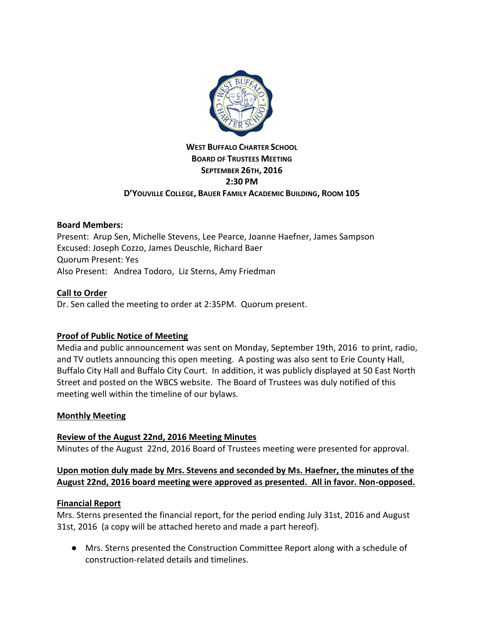

# **WEST BUFFALO CHARTER SCHOOL BOARD OF TRUSTEES MEETING SEPTEMBER 26TH, 2016 2:30 PM D'YOUVILLE COLLEGE, BAUER FAMILY ACADEMIC BUILDING, ROOM 105**

# **Board Members:**

Present: Arup Sen, Michelle Stevens, Lee Pearce, Joanne Haefner, James Sampson Excused: Joseph Cozzo, James Deuschle, Richard Baer Quorum Present: Yes Also Present: Andrea Todoro, Liz Sterns, Amy Friedman

### **Call to Order**

Dr. Sen called the meeting to order at 2:35PM. Quorum present.

# **Proof of Public Notice of Meeting**

Media and public announcement was sent on Monday, September 19th, 2016 to print, radio, and TV outlets announcing this open meeting. A posting was also sent to Erie County Hall, Buffalo City Hall and Buffalo City Court. In addition, it was publicly displayed at 50 East North Street and posted on the WBCS website. The Board of Trustees was duly notified of this meeting well within the timeline of our bylaws.

#### **Monthly Meeting**

#### **Review of the August 22nd, 2016 Meeting Minutes**

Minutes of the August 22nd, 2016 Board of Trustees meeting were presented for approval.

### **Upon motion duly made by Mrs. Stevens and seconded by Ms. Haefner, the minutes of the August 22nd, 2016 board meeting were approved as presented. All in favor. Non-opposed.**

#### **Financial Report**

Mrs. Sterns presented the financial report, for the period ending July 31st, 2016 and August 31st, 2016 (a copy will be attached hereto and made a part hereof).

● Mrs. Sterns presented the Construction Committee Report along with a schedule of construction-related details and timelines.